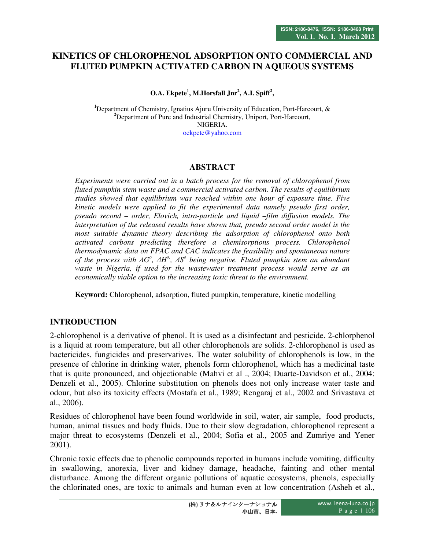# **KINETICS OF CHLOROPHENOL ADSORPTION ONTO COMMERCIAL AND FLUTED PUMPKIN ACTIVATED CARBON IN AQUEOUS SYSTEMS**

**O.A. Ekpete<sup>1</sup> , M.Horsfall Jnr<sup>2</sup> , A.I. Spiff<sup>2</sup> ,** 

**<sup>1</sup>**Department of Chemistry, Ignatius Ajuru University of Education, Port-Harcourt, & **<sup>2</sup>**Department of Pure and Industrial Chemistry, Uniport, Port-Harcourt, NIGERIA.

oekpete@yahoo.com

#### **ABSTRACT**

*Experiments were carried out in a batch process for the removal of chlorophenol from fluted pumpkin stem waste and a commercial activated carbon. The results of equilibrium studies showed that equilibrium was reached within one hour of exposure time. Five kinetic models were applied to fit the experimental data namely pseudo first order, pseudo second – order, Elovich, intra-particle and liquid –film diffusion models. The interpretation of the released results have shown that, pseudo second order model is the most suitable dynamic theory describing the adsorption of chlorophenol onto both activated carbons predicting therefore a chemisorptions process. Chlorophenol thermodynamic data on FPAC and CAC indicates the feasibility and spontaneous nature of the process with ∆G o , ∆H o, , ∆S o being negative. Fluted pumpkin stem an abundant waste in Nigeria, if used for the wastewater treatment process would serve as an economically viable option to the increasing toxic threat to the environment.* 

**Keyword:** Chlorophenol, adsorption, fluted pumpkin, temperature, kinetic modelling

## **INTRODUCTION**

2-chlorophenol is a derivative of phenol. It is used as a disinfectant and pesticide. 2-chlorphenol is a liquid at room temperature, but all other chlorophenols are solids. 2-chlorophenol is used as bactericides, fungicides and preservatives. The water solubility of chlorophenols is low, in the presence of chlorine in drinking water, phenols form chlorophenol, which has a medicinal taste that is quite pronounced, and objectionable (Mahvi et al ., 2004; Duarte-Davidson et al., 2004: Denzeli et al., 2005). Chlorine substitution on phenols does not only increase water taste and odour, but also its toxicity effects (Mostafa et al., 1989; Rengaraj et al., 2002 and Srivastava et al., 2006).

Residues of chlorophenol have been found worldwide in soil, water, air sample, food products, human, animal tissues and body fluids. Due to their slow degradation, chlorophenol represent a major threat to ecosystems (Denzeli et al., 2004; Sofia et al., 2005 and Zumriye and Yener 2001).

Chronic toxic effects due to phenolic compounds reported in humans include vomiting, difficulty in swallowing, anorexia, liver and kidney damage, headache, fainting and other mental disturbance. Among the different organic pollutions of aquatic ecosystems, phenols, especially the chlorinated ones, are toxic to animals and human even at low concentration (Asheh et al.,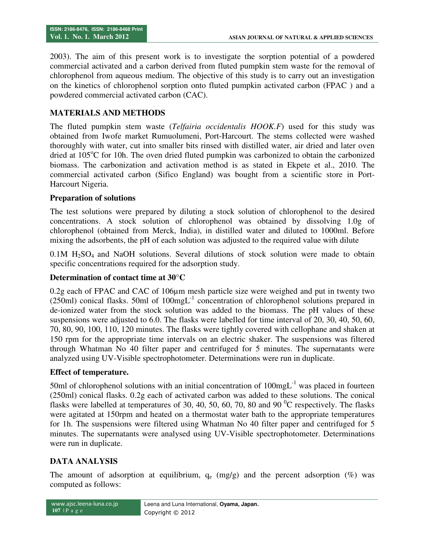2003). The aim of this present work is to investigate the sorption potential of a powdered commercial activated and a carbon derived from fluted pumpkin stem waste for the removal of chlorophenol from aqueous medium. The objective of this study is to carry out an investigation on the kinetics of chlorophenol sorption onto fluted pumpkin activated carbon (FPAC ) and a powdered commercial activated carbon (CAC).

#### **MATERIALS AND METHODS**

The fluted pumpkin stem waste (*Telfairia occidentalis HOOK.F*) used for this study was obtained from Iwofe market Rumuolumeni, Port-Harcourt. The stems collected were washed thoroughly with water, cut into smaller bits rinsed with distilled water, air dried and later oven dried at  $105^{\circ}$ C for 10h. The oven dried fluted pumpkin was carbonized to obtain the carbonized biomass. The carbonization and activation method is as stated in Ekpete et al., 2010. The commercial activated carbon (Sifico England) was bought from a scientific store in Port-Harcourt Nigeria.

#### **Preparation of solutions**

The test solutions were prepared by diluting a stock solution of chlorophenol to the desired concentrations. A stock solution of chlorophenol was obtained by dissolving 1.0g of chlorophenol (obtained from Merck, India), in distilled water and diluted to 1000ml. Before mixing the adsorbents, the pH of each solution was adjusted to the required value with dilute

 $0.1M$  H<sub>2</sub>SO<sub>4</sub> and NaOH solutions. Several dilutions of stock solution were made to obtain specific concentrations required for the adsorption study.

#### **Determination of contact time at 30°C**

0.2g each of FPAC and CAC of 106µm mesh particle size were weighed and put in twenty two (250ml) conical flasks. 50ml of 100mgL-1 concentration of chlorophenol solutions prepared in de-ionized water from the stock solution was added to the biomass. The pH values of these suspensions were adjusted to 6.0. The flasks were labelled for time interval of 20, 30, 40, 50, 60, 70, 80, 90, 100, 110, 120 minutes. The flasks were tightly covered with cellophane and shaken at 150 rpm for the appropriate time intervals on an electric shaker. The suspensions was filtered through Whatman No 40 filter paper and centrifuged for 5 minutes. The supernatants were analyzed using UV-Visible spectrophotometer. Determinations were run in duplicate.

#### **Effect of temperature.**

50ml of chlorophenol solutions with an initial concentration of  $100$ mg $L^{-1}$  was placed in fourteen (250ml) conical flasks. 0.2g each of activated carbon was added to these solutions. The conical flasks were labelled at temperatures of 30, 40, 50, 60, 70, 80 and 90 $^{0}$ C respectively. The flasks were agitated at 150rpm and heated on a thermostat water bath to the appropriate temperatures for 1h. The suspensions were filtered using Whatman No 40 filter paper and centrifuged for 5 minutes. The supernatants were analysed using UV-Visible spectrophotometer. Determinations were run in duplicate.

#### **DATA ANALYSIS**

The amount of adsorption at equilibrium,  $q_e$  (mg/g) and the percent adsorption (%) was computed as follows: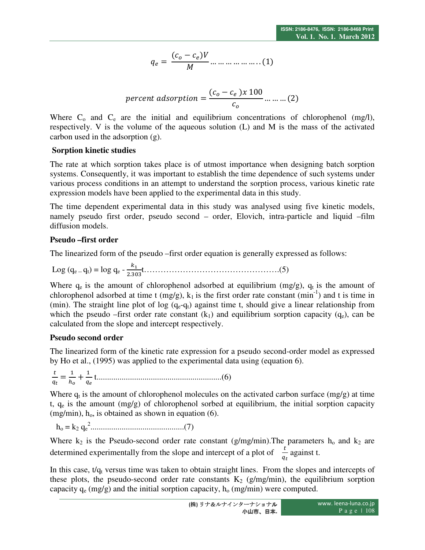$$
q_e = \frac{(c_o - c_e)V}{M} \dots \dots \dots \dots \dots \dots (1)
$$

$$
percent\ adsorption = \frac{(c_o - c_e)x\ 100}{c_o} \dots \dots \dots (2)
$$

Where  $C_0$  and  $C_e$  are the initial and equilibrium concentrations of chlorophenol (mg/l), respectively. V is the volume of the aqueous solution (L) and M is the mass of the activated carbon used in the adsorption (g).

#### **Sorption kinetic studies**

The rate at which sorption takes place is of utmost importance when designing batch sorption systems. Consequently, it was important to establish the time dependence of such systems under various process conditions in an attempt to understand the sorption process, various kinetic rate expression models have been applied to the experimental data in this study.

The time dependent experimental data in this study was analysed using five kinetic models, namely pseudo first order, pseudo second – order, Elovich, intra-particle and liquid –film diffusion models.

## **Pseudo –first order**

The linearized form of the pseudo –first order equation is generally expressed as follows:

Log  $(q_e - q_t) = log q_e - \frac{k_1}{2.2}$ . t………………………………………….(5)

Where  $q_e$  is the amount of chlorophenol adsorbed at equilibrium (mg/g),  $q_t$  is the amount of chlorophenol adsorbed at time t  $(mg/g)$ ,  $k_1$  is the first order rate constant  $(min^{-1})$  and t is time in (min). The straight line plot of log  $(q_e-q_t)$  against time t, should give a linear relationship from which the pseudo –first order rate constant  $(k_1)$  and equilibrium sorption capacity  $(q_e)$ , can be calculated from the slope and intercept respectively.

## **Pseudo second order**

The linearized form of the kinetic rate expression for a pseudo second-order model as expressed by Ho et al., (1995) was applied to the experimental data using (equation 6).

 $t$  $\frac{t}{q_t} = \frac{1}{h_t}$  $\frac{1}{h_o} + \frac{1}{q_e}$ "( t............................................................(6)

Where  $q_t$  is the amount of chlorophenol molecules on the activated carbon surface (mg/g) at time t,  $q_e$  is the amount (mg/g) of chlorophenol sorbed at equilibrium, the initial sorption capacity (mg/min),  $h_0$ , is obtained as shown in equation (6).

ho = k2 q<sup>e</sup> 2 .............................................(7)

Where  $k_2$  is the Pseudo-second order rate constant (g/mg/min). The parameters  $h_0$  and  $k_2$  are determined experimentally from the slope and intercept of a plot of  $\frac{t}{q_t}$  against t.

In this case,  $t/q_t$  versus time was taken to obtain straight lines. From the slopes and intercepts of these plots, the pseudo-second order rate constants  $K_2$  (g/mg/min), the equilibrium sorption capacity  $q_e$  (mg/g) and the initial sorption capacity,  $h_o$  (mg/min) were computed.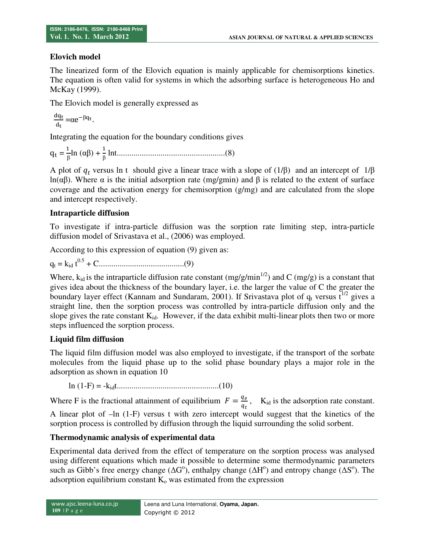## **Elovich model**

The linearized form of the Elovich equation is mainly applicable for chemisorptions kinetics. The equation is often valid for systems in which the adsorbing surface is heterogeneous Ho and McKay (1999).

The Elovich model is generally expressed as

$$
\frac{dq_t}{d_t} = \alpha e^{-\beta q_t}.
$$

Integrating the equation for the boundary conditions gives

q/ = \$ β ln (αβ) + \$ β lnt....................................................(8)

A plot of  $q_t$  versus ln t should give a linear trace with a slope of (1/β) and an intercept of 1/β ln(αβ). Where α is the initial adsorption rate (mg/gmin) and β is related to the extent of surface coverage and the activation energy for chemisorption (g/mg) and are calculated from the slope and intercept respectively.

## **Intraparticle diffusion**

To investigate if intra-particle diffusion was the sorption rate limiting step, intra-particle diffusion model of Srivastava et al., (2006) was employed.

According to this expression of equation (9) given as:

 $q_t = k_{id} t^{0.5} + C \dots t^{0.5} + \dots t^{0.5}$ 

Where,  $k_{id}$  is the intraparticle diffusion rate constant (mg/g/min<sup>1/2</sup>) and C (mg/g) is a constant that gives idea about the thickness of the boundary layer, i.e. the larger the value of C the greater the boundary layer effect (Kannam and Sundaram, 2001). If Srivastava plot of  $q_t$  versus  $\bar{t}^{1/2}$  gives a straight line, then the sorption process was controlled by intra-particle diffusion only and the slope gives the rate constant  $K_{id}$ . However, if the data exhibit multi-linear plots then two or more steps influenced the sorption process.

## **Liquid film diffusion**

The liquid film diffusion model was also employed to investigate, if the transport of the sorbate molecules from the liquid phase up to the solid phase boundary plays a major role in the adsorption as shown in equation 10

ln (1-F) = -kidt.................................................(10)

Where F is the fractional attainment of equilibrium  $F = \frac{q_e}{q_t}$ , K<sub>id</sub> is the adsorption rate constant. A linear plot of –ln (1-F) versus t with zero intercept would suggest that the kinetics of the sorption process is controlled by diffusion through the liquid surrounding the solid sorbent.

# **Thermodynamic analysis of experimental data**

Experimental data derived from the effect of temperature on the sorption process was analysed using different equations which made it possible to determine some thermodynamic parameters such as Gibb's free energy change ( $\Delta G^{\circ}$ ), enthalpy change ( $\Delta H^{\circ}$ ) and entropy change ( $\Delta S^{\circ}$ ). The adsorption equilibrium constant  $K_0$  was estimated from the expression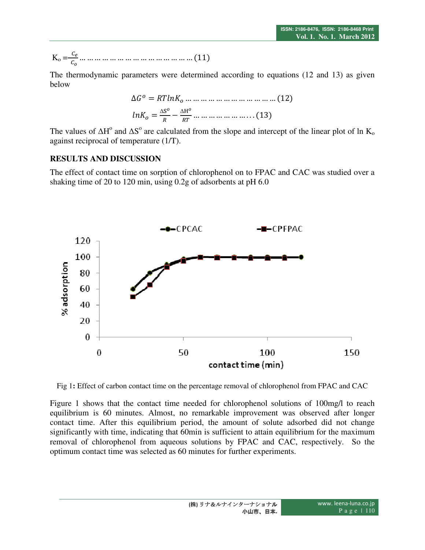$$
K_{o} = \frac{c_{e}}{c_{o}} \dots \dots \dots \dots \dots \dots \dots \dots \dots \dots \dots \dots \dots (11)
$$

The thermodynamic parameters were determined according to equations (12 and 13) as given below

$$
\Delta G^o = RTlnK_o \dots \dots \dots \dots \dots \dots \dots \dots \dots \dots \dots \dots (12)
$$

$$
lnK_o = \frac{\Delta S^o}{R} - \frac{\Delta H^o}{RT} \dots \dots \dots \dots \dots \dots \dots \dots \dots (13)
$$

The values of  $\Delta H^{\circ}$  and  $\Delta S^{\circ}$  are calculated from the slope and intercept of the linear plot of ln K<sub>o</sub> against reciprocal of temperature (1/T).

#### **RESULTS AND DISCUSSION**

The effect of contact time on sorption of chlorophenol on to FPAC and CAC was studied over a shaking time of 20 to 120 min, using 0.2g of adsorbents at pH 6.0



Fig 1**:** Effect of carbon contact time on the percentage removal of chlorophenol from FPAC and CAC

Figure 1 shows that the contact time needed for chlorophenol solutions of 100mg/l to reach equilibrium is 60 minutes. Almost, no remarkable improvement was observed after longer contact time. After this equilibrium period, the amount of solute adsorbed did not change significantly with time, indicating that 60min is sufficient to attain equilibrium for the maximum removal of chlorophenol from aqueous solutions by FPAC and CAC, respectively. So the optimum contact time was selected as 60 minutes for further experiments.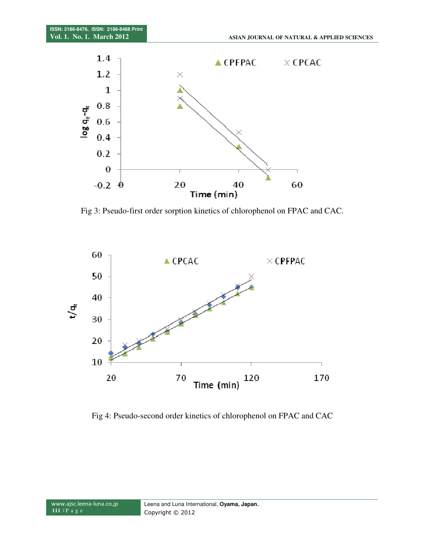

Fig 3: Pseudo-first order sorption kinetics of chlorophenol on FPAC and CAC.



Fig 4: Pseudo-second order kinetics of chlorophenol on FPAC and CAC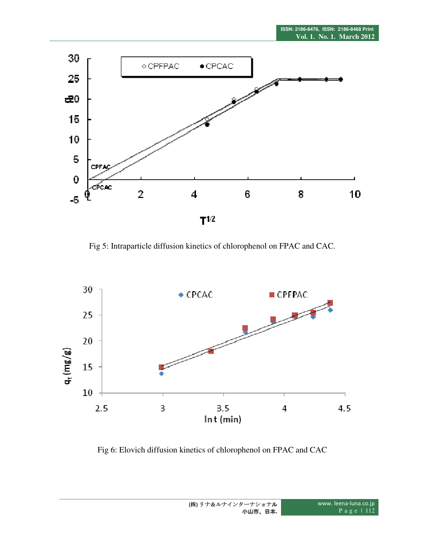

Fig 5: Intraparticle diffusion kinetics of chlorophenol on FPAC and CAC.



Fig 6: Elovich diffusion kinetics of chlorophenol on FPAC and CAC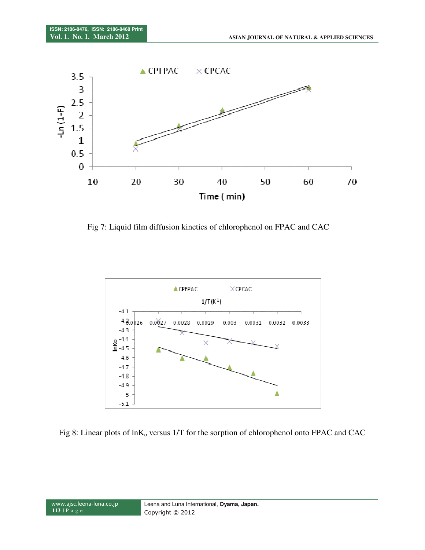

Fig 7: Liquid film diffusion kinetics of chlorophenol on FPAC and CAC



Fig 8: Linear plots of  $ln K_0$  versus 1/T for the sorption of chlorophenol onto FPAC and CAC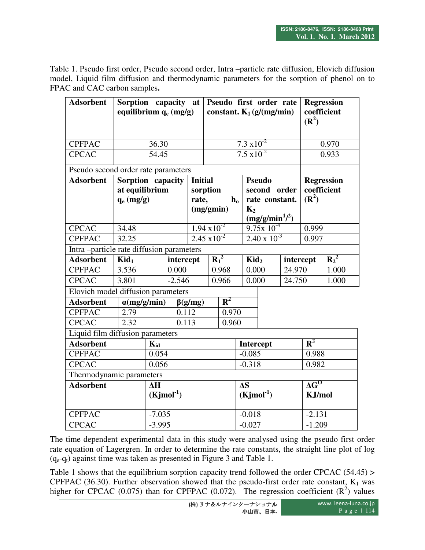Table 1. Pseudo first order, Pseudo second order, Intra –particle rate diffusion, Elovich diffusion model, Liquid film diffusion and thermodynamic parameters for the sorption of phenol on to FPAC and CAC carbon samples**.** 

| <b>Adsorbent</b>                         |                     | Sorption capacity at<br>Pseudo first order rate<br>equilibrium $q_e$ (mg/g)<br>constant. $K_1$ (g/(mg/min) |               |                                    |                      |                              |                            |                             | <b>Regression</b><br>coefficient<br>$(\mathbb{R}^2)$ |                   |         |
|------------------------------------------|---------------------|------------------------------------------------------------------------------------------------------------|---------------|------------------------------------|----------------------|------------------------------|----------------------------|-----------------------------|------------------------------------------------------|-------------------|---------|
| <b>CPFPAC</b>                            | 36.30               |                                                                                                            |               |                                    | $7.3 \times 10^{-2}$ |                              |                            |                             |                                                      | 0.970             |         |
| <b>CPCAC</b>                             | 54.45               |                                                                                                            |               |                                    | $7.5 \times 10^{-2}$ |                              |                            |                             |                                                      | 0.933             |         |
| Pseudo second order rate parameters      |                     |                                                                                                            |               |                                    |                      |                              |                            |                             |                                                      |                   |         |
| <b>Adsorbent</b>                         | Sorption capacity   |                                                                                                            |               | <b>Initial</b>                     |                      |                              | <b>Pseudo</b>              |                             |                                                      | <b>Regression</b> |         |
|                                          | at equilibrium      |                                                                                                            | sorption      |                                    |                      | second order                 |                            | coefficient                 |                                                      |                   |         |
|                                          | $q_e$ (mg/g)        |                                                                                                            |               | rate,<br>rate constant.<br>$h_{o}$ |                      |                              |                            | $(\mathbb{R}^2)$            |                                                      |                   |         |
|                                          |                     |                                                                                                            |               | (mg/gmin)                          |                      |                              | $K_2$<br>$(mg/g/min^1)^2)$ |                             |                                                      |                   |         |
| <b>CPCAC</b>                             | 34.48               |                                                                                                            |               | $1.94 \times 10^{-2}$              |                      | $9.75x 10^{-4}$              |                            | 0.999                       |                                                      |                   |         |
| <b>CPFPAC</b>                            | 32.25               |                                                                                                            |               | $2.45 \times 10^{-2}$              |                      |                              | $2.40 \times 10^{-3}$      |                             | 0.997                                                |                   |         |
| Intra-particle rate diffusion parameters |                     |                                                                                                            |               |                                    |                      |                              |                            |                             |                                                      |                   |         |
| <b>Adsorbent</b>                         | $\text{Kid}_1$      |                                                                                                            | intercept     |                                    |                      | $R_1^2$                      |                            | $\text{Kid}_2$<br>intercept |                                                      |                   | $R_2^2$ |
| <b>CPFPAC</b>                            | 3.536               |                                                                                                            | 0.000         |                                    |                      | 0.968                        | 0.000<br>24.970            |                             | 1.000                                                |                   |         |
| <b>CPCAC</b>                             | $-2.546$<br>3.801   |                                                                                                            | 0.966         |                                    |                      | 0.000                        |                            | 24.750                      |                                                      | 1.000             |         |
| Elovich model diffusion parameters       |                     |                                                                                                            |               |                                    |                      |                              |                            |                             |                                                      |                   |         |
| <b>Adsorbent</b>                         | $\alpha$ (mg/g/min) |                                                                                                            | $\beta(g/mg)$ | $R^2$                              |                      |                              |                            |                             |                                                      |                   |         |
| <b>CPFPAC</b>                            | 0.112<br>2.79       |                                                                                                            |               |                                    | 0.970                |                              |                            |                             |                                                      |                   |         |
| <b>CPCAC</b>                             | 2.32<br>0.113       |                                                                                                            |               |                                    | 0.960                |                              |                            |                             |                                                      |                   |         |
| Liquid film diffusion parameters         |                     |                                                                                                            |               |                                    |                      |                              |                            |                             |                                                      |                   |         |
| <b>Adsorbent</b>                         |                     | $K_{id}$                                                                                                   |               |                                    |                      | <b>Intercept</b>             |                            |                             |                                                      | $R^2$             |         |
| 0.054<br><b>CPFPAC</b>                   |                     |                                                                                                            |               |                                    |                      |                              | $-0.085$                   |                             |                                                      | 0.988             |         |
| <b>CPCAC</b>                             | 0.056               |                                                                                                            |               |                                    |                      |                              | $-0.318$                   |                             | 0.982                                                |                   |         |
| Thermodynamic parameters                 |                     |                                                                                                            |               |                                    |                      |                              |                            |                             |                                                      |                   |         |
| <b>Adsorbent</b>                         |                     | $\Delta H$<br>$(Kjmol^{-1})$                                                                               |               |                                    |                      | $\Delta S$<br>$(Kjmol^{-1})$ |                            |                             | $\Delta G^0$<br>KJ/mol                               |                   |         |
| <b>CPFPAC</b>                            |                     | $-7.035$                                                                                                   |               |                                    |                      | $-0.018$                     |                            |                             |                                                      | $-2.131$          |         |
| <b>CPCAC</b>                             |                     | $-3.995$                                                                                                   |               |                                    |                      | $-0.027$                     |                            |                             | $-1.209$                                             |                   |         |

The time dependent experimental data in this study were analysed using the pseudo first order rate equation of Lagergren. In order to determine the rate constants, the straight line plot of log  $(q_e-q_t)$  against time was taken as presented in Figure 3 and Table 1.

Table 1 shows that the equilibrium sorption capacity trend followed the order CPCAC (54.45) > CPFPAC (36.30). Further observation showed that the pseudo-first order rate constant,  $K_1$  was higher for CPCAC (0.075) than for CPFPAC (0.072). The regression coefficient  $(R^2)$  values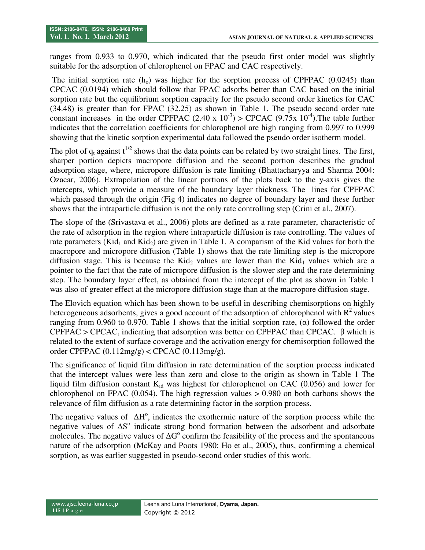ranges from 0.933 to 0.970, which indicated that the pseudo first order model was slightly suitable for the adsorption of chlorophenol on FPAC and CAC respectively.

The initial sorption rate  $(h<sub>o</sub>)$  was higher for the sorption process of CPFPAC (0.0245) than CPCAC (0.0194) which should follow that FPAC adsorbs better than CAC based on the initial sorption rate but the equilibrium sorption capacity for the pseudo second order kinetics for CAC (34.48) is greater than for FPAC (32.25) as shown in Table 1. The pseudo second order rate constant increases in the order CPFPAC (2.40 x  $10^{-3}$ ) > CPCAC (9.75x  $10^{-4}$ ). The table further indicates that the correlation coefficients for chlorophenol are high ranging from 0.997 to 0.999 showing that the kinetic sorption experimental data followed the pseudo order isotherm model.

The plot of  $q_t$  against  $t^{1/2}$  shows that the data points can be related by two straight lines. The first, sharper portion depicts macropore diffusion and the second portion describes the gradual adsorption stage, where, micropore diffusion is rate limiting (Bhattacharyya and Sharma 2004: Ozacar, 2006). Extrapolation of the linear portions of the plots back to the y-axis gives the intercepts, which provide a measure of the boundary layer thickness. The lines for CPFPAC which passed through the origin (Fig 4) indicates no degree of boundary layer and these further shows that the intraparticle diffusion is not the only rate controlling step (Crini et al., 2007).

The slope of the (Srivastava et al., 2006) plots are defined as a rate parameter, characteristic of the rate of adsorption in the region where intraparticle diffusion is rate controlling. The values of rate parameters (Kid<sub>1</sub> and Kid<sub>2</sub>) are given in Table 1. A comparism of the Kid values for both the macropore and micropore diffusion (Table 1) shows that the rate limiting step is the micropore diffusion stage. This is because the Kid<sub>2</sub> values are lower than the Kid<sub>1</sub> values which are a pointer to the fact that the rate of micropore diffusion is the slower step and the rate determining step. The boundary layer effect, as obtained from the intercept of the plot as shown in Table 1 was also of greater effect at the micropore diffusion stage than at the macropore diffusion stage.

The Elovich equation which has been shown to be useful in describing chemisorptions on highly heterogeneous adsorbents, gives a good account of the adsorption of chlorophenol with  $R^2$  values ranging from 0.960 to 0.970. Table 1 shows that the initial sorption rate,  $\alpha$  followed the order CPFPAC > CPCAC, indicating that adsorption was better on CPFPAC than CPCAC. β which is related to the extent of surface coverage and the activation energy for chemisorption followed the order CPFPAC (0.112mg/g) < CPCAC (0.113mg/g).

The significance of liquid film diffusion in rate determination of the sorption process indicated that the intercept values were less than zero and close to the origin as shown in Table 1 The liquid film diffusion constant  $K_{id}$  was highest for chlorophenol on CAC (0.056) and lower for chlorophenol on FPAC  $(0.054)$ . The high regression values  $> 0.980$  on both carbons shows the relevance of film diffusion as a rate determining factor in the sorption process.

The negative values of  $\Delta H^{\circ}$ , indicates the exothermic nature of the sorption process while the negative values of ∆S<sup>°</sup> indicate strong bond formation between the adsorbent and adsorbate molecules. The negative values of  $\Delta G^{\circ}$  confirm the feasibility of the process and the spontaneous nature of the adsorption (McKay and Poots 1980: Ho et al., 2005), thus, confirming a chemical sorption, as was earlier suggested in pseudo-second order studies of this work.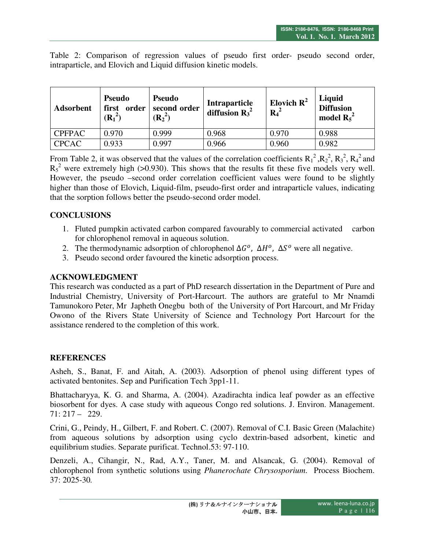Table 2: Comparison of regression values of pseudo first order- pseudo second order, intraparticle, and Elovich and Liquid diffusion kinetic models.

| <b>Adsorbent</b> | <b>Pseudo</b><br>order<br>first<br>$(R_1^2)$ | <b>Pseudo</b><br>second order<br>$(R_2^2)$ | Intraparticle<br>diffusion $R_3^2$ | Elovich $\mathbf{R}^2$<br>$R_4^2$ | Liquid<br><b>Diffusion</b><br>model $R_5^2$ |
|------------------|----------------------------------------------|--------------------------------------------|------------------------------------|-----------------------------------|---------------------------------------------|
| <b>CPFPAC</b>    | 0.970                                        | 0.999                                      | 0.968                              | 0.970                             | 0.988                                       |
| <b>CPCAC</b>     | 0.933                                        | 0.997                                      | 0.966                              | 0.960                             | 0.982                                       |

From Table 2, it was observed that the values of the correlation coefficients  $R_1^2$ ,  $R_2^2$ ,  $R_3^2$ ,  $R_4^2$  and  $R_5^2$  were extremely high (>0.930). This shows that the results fit these five models very well. However, the pseudo –second order correlation coefficient values were found to be slightly higher than those of Elovich, Liquid-film, pseudo-first order and intraparticle values, indicating that the sorption follows better the pseudo-second order model.

# **CONCLUSIONS**

- 1. Fluted pumpkin activated carbon compared favourably to commercial activated carbon for chlorophenol removal in aqueous solution.
- 2. The thermodynamic adsorption of chlorophenol  $\Delta G^{\circ}$ ,  $\Delta H^{\circ}$ ,  $\Delta S^{\circ}$  were all negative.
- 3. Pseudo second order favoured the kinetic adsorption process.

## **ACKNOWLEDGMENT**

This research was conducted as a part of PhD research dissertation in the Department of Pure and Industrial Chemistry, University of Port-Harcourt. The authors are grateful to Mr Nnamdi Tamunokoro Peter, Mr Japheth Onegbu both of the University of Port Harcourt, and Mr Friday Owono of the Rivers State University of Science and Technology Port Harcourt for the assistance rendered to the completion of this work.

## **REFERENCES**

Asheh, S., Banat, F. and Aitah, A. (2003). Adsorption of phenol using different types of activated bentonites. Sep and Purification Tech 3pp1-11.

Bhattacharyya, K. G. and Sharma, A. (2004). Azadirachta indica leaf powder as an effective biosorbent for dyes. A case study with aqueous Congo red solutions. J. Environ. Management. 71: 217 – 229.

Crini, G., Peindy, H., Gilbert, F. and Robert. C. (2007). Removal of C.I. Basic Green (Malachite) from aqueous solutions by adsorption using cyclo dextrin-based adsorbent, kinetic and equilibrium studies. Separate purificat. Technol.53: 97-110.

Denzeli, A., Cihangir, N., Rad, A.Y., Taner, M. and Alsancak, G. (2004). Removal of chlorophenol from synthetic solutions using *Phanerochate Chrysosporium*. Process Biochem. 37: 2025-30*.*